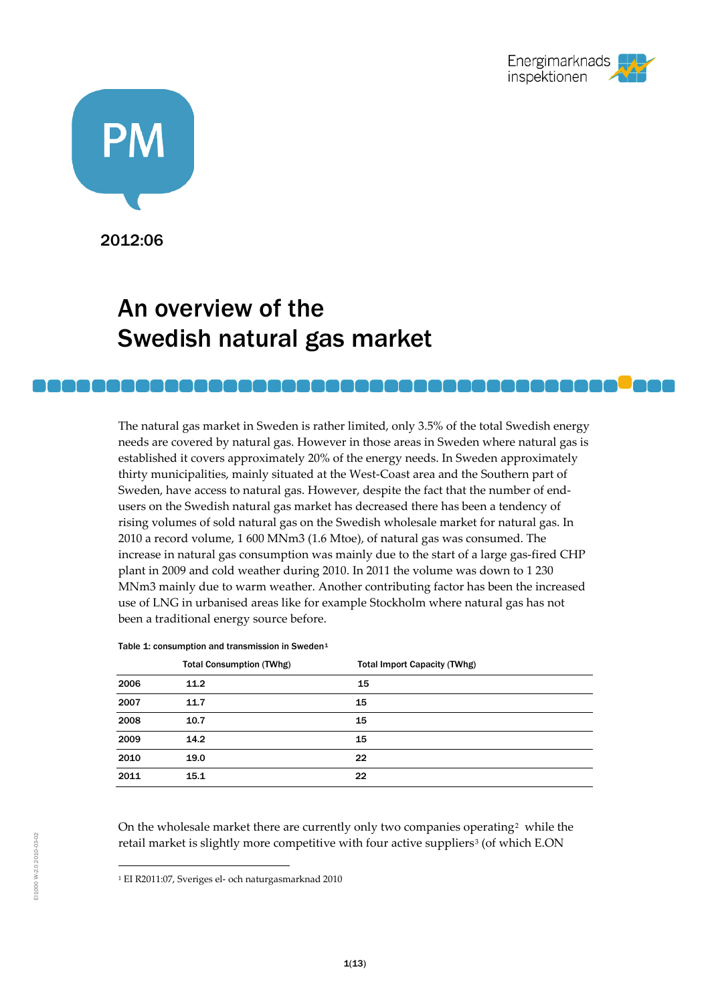



2012:06

# An overview of the Swedish natural gas market

The natural gas market in Sweden is rather limited, only 3.5% of the total Swedish energy needs are covered by natural gas. However in those areas in Sweden where natural gas is established it covers approximately 20% of the energy needs. In Sweden approximately thirty municipalities, mainly situated at the West-Coast area and the Southern part of Sweden, have access to natural gas. However, despite the fact that the number of endusers on the Swedish natural gas market has decreased there has been a tendency of rising volumes of sold natural gas on the Swedish wholesale market for natural gas. In 2010 a record volume, 1 600 MNm3 (1.6 Mtoe), of natural gas was consumed. The increase in natural gas consumption was mainly due to the start of a large gas-fired CHP plant in 2009 and cold weather during 2010. In 2011 the volume was down to 1 230 MNm3 mainly due to warm weather. Another contributing factor has been the increased use of LNG in urbanised areas like for example Stockholm where natural gas has not been a traditional energy source before.

|      | <b>Total Consumption (TWhg)</b> | <b>Total Import Capacity (TWhg)</b> |  |
|------|---------------------------------|-------------------------------------|--|
| 2006 | 11.2                            | 15                                  |  |
| 2007 | 11.7                            | 15                                  |  |
| 2008 | 10.7                            | 15                                  |  |
| 2009 | 14.2                            | 15                                  |  |
| 2010 | 19.0                            | 22                                  |  |
| 2011 | 15.1                            | 22                                  |  |

Table [1](#page-0-0): consumption and transmission in Sweden<sup>1</sup>

<span id="page-0-2"></span>On the wholesale market there are currently only two companies operating<sup>[2](#page-0-1)</sup> while the retail market is slightly more competitive with four active suppliers<sup>[3](#page-0-0)</sup> (of which E.ON

<span id="page-0-1"></span><span id="page-0-0"></span> <sup>1</sup> EI R2011:07, Sveriges el- och naturgasmarknad 2010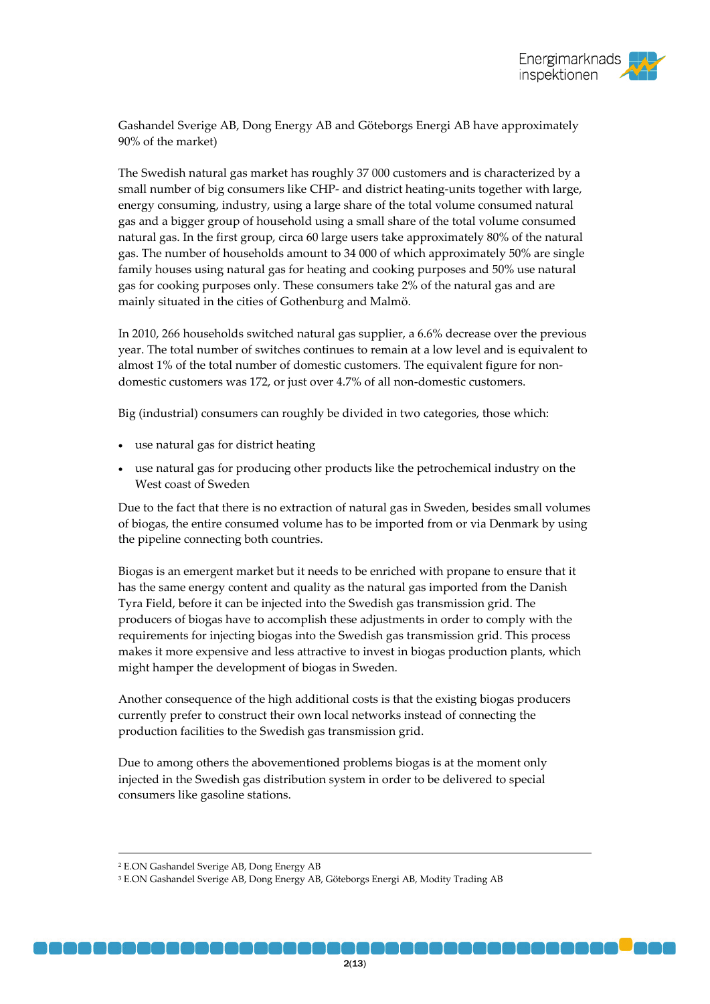Gashandel Sverige AB, Dong Energy AB and Göteborgs Energi AB have approximately 90% of the market)

The Swedish natural gas market has roughly 37 000 customers and is characterized by a small number of big consumers like CHP- and district heating-units together with large, energy consuming, industry, using a large share of the total volume consumed natural gas and a bigger group of household using a small share of the total volume consumed natural gas. In the first group, circa 60 large users take approximately 80% of the natural gas. The number of households amount to 34 000 of which approximately 50% are single family houses using natural gas for heating and cooking purposes and 50% use natural gas for cooking purposes only. These consumers take 2% of the natural gas and are mainly situated in the cities of Gothenburg and Malmö.

In 2010, 266 households switched natural gas supplier, a 6.6% decrease over the previous year. The total number of switches continues to remain at a low level and is equivalent to almost 1% of the total number of domestic customers. The equivalent figure for nondomestic customers was 172, or just over 4.7% of all non-domestic customers.

Big (industrial) consumers can roughly be divided in two categories, those which:

- use natural gas for district heating
- use natural gas for producing other products like the petrochemical industry on the West coast of Sweden

Due to the fact that there is no extraction of natural gas in Sweden, besides small volumes of biogas, the entire consumed volume has to be imported from or via Denmark by using the pipeline connecting both countries.

Biogas is an emergent market but it needs to be enriched with propane to ensure that it has the same energy content and quality as the natural gas imported from the Danish Tyra Field, before it can be injected into the Swedish gas transmission grid. The producers of biogas have to accomplish these adjustments in order to comply with the requirements for injecting biogas into the Swedish gas transmission grid. This process makes it more expensive and less attractive to invest in biogas production plants, which might hamper the development of biogas in Sweden.

Another consequence of the high additional costs is that the existing biogas producers currently prefer to construct their own local networks instead of connecting the production facilities to the Swedish gas transmission grid.

Due to among others the abovementioned problems biogas is at the moment only injected in the Swedish gas distribution system in order to be delivered to special consumers like gasoline stations.

 <sup>2</sup> E.ON Gashandel Sverige AB, Dong Energy AB

<sup>3</sup> E.ON Gashandel Sverige AB, Dong Energy AB, Göteborgs Energi AB, Modity Trading AB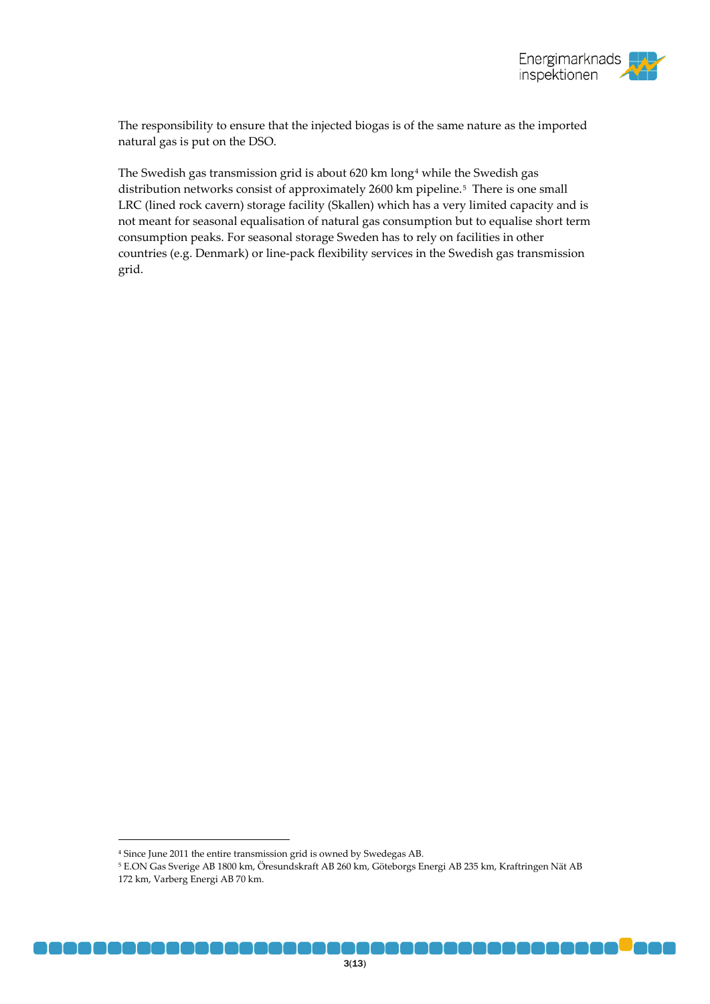

The responsibility to ensure that the injected biogas is of the same nature as the imported natural gas is put on the DSO.

The Swedish gas transmission grid is about 620 km long<sup>[4](#page-0-2)</sup> while the Swedish gas distribution networks consist of approximately 2600 km pipeline.<sup>[5](#page-2-0)</sup> There is one small LRC (lined rock cavern) storage facility (Skallen) which has a very limited capacity and is not meant for seasonal equalisation of natural gas consumption but to equalise short term consumption peaks. For seasonal storage Sweden has to rely on facilities in other countries (e.g. Denmark) or line-pack flexibility services in the Swedish gas transmission grid.

<span id="page-2-1"></span> <sup>4</sup> Since June 2011 the entire transmission grid is owned by Swedegas AB.

<span id="page-2-0"></span><sup>5</sup> E.ON Gas Sverige AB 1800 km, Öresundskraft AB 260 km, Göteborgs Energi AB 235 km, Kraftringen Nät AB 172 km, Varberg Energi AB 70 km.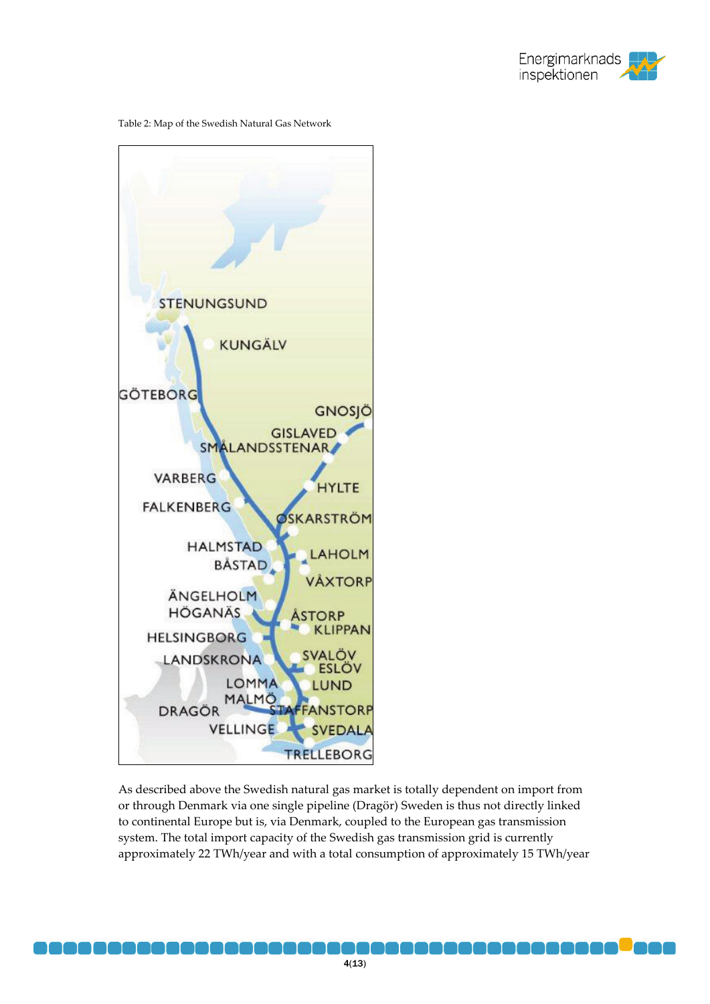





As described above the Swedish natural gas market is totally dependent on import from or through Denmark via one single pipeline (Dragör) Sweden is thus not directly linked to continental Europe but is, via Denmark, coupled to the European gas transmission system. The total import capacity of the Swedish gas transmission grid is currently approximately 22 TWh/year and with a total consumption of approximately 15 TWh/year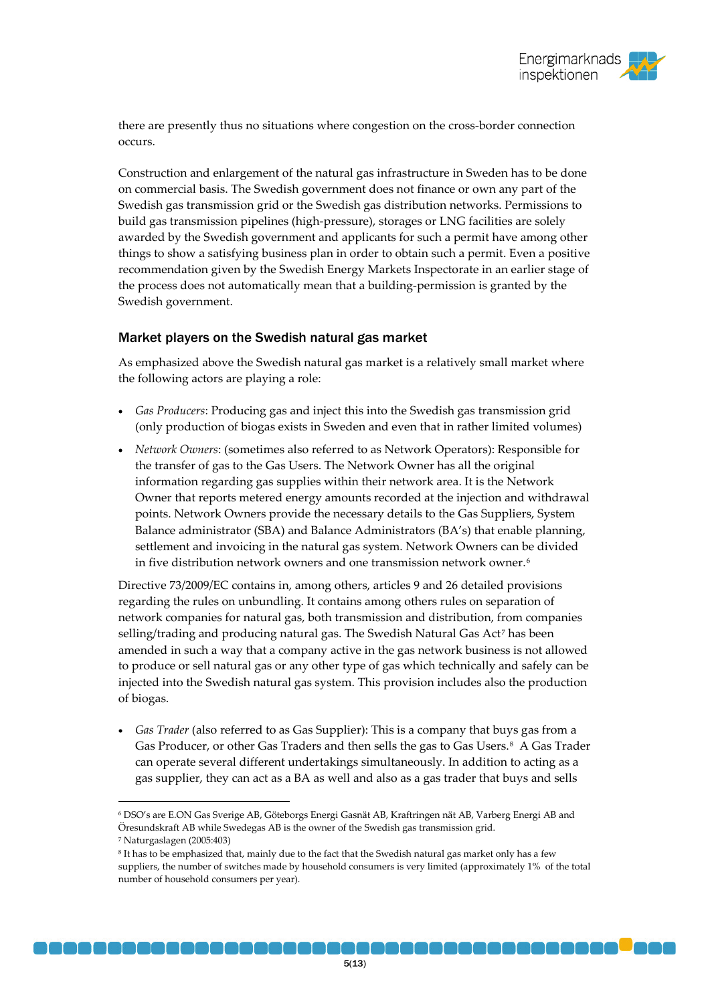there are presently thus no situations where congestion on the cross-border connection occurs.

Construction and enlargement of the natural gas infrastructure in Sweden has to be done on commercial basis. The Swedish government does not finance or own any part of the Swedish gas transmission grid or the Swedish gas distribution networks. Permissions to build gas transmission pipelines (high-pressure), storages or LNG facilities are solely awarded by the Swedish government and applicants for such a permit have among other things to show a satisfying business plan in order to obtain such a permit. Even a positive recommendation given by the Swedish Energy Markets Inspectorate in an earlier stage of the process does not automatically mean that a building-permission is granted by the Swedish government.

# Market players on the Swedish natural gas market

As emphasized above the Swedish natural gas market is a relatively small market where the following actors are playing a role:

- *Gas Producers*: Producing gas and inject this into the Swedish gas transmission grid (only production of biogas exists in Sweden and even that in rather limited volumes)
- *Network Owners*: (sometimes also referred to as Network Operators): Responsible for the transfer of gas to the Gas Users. The Network Owner has all the original information regarding gas supplies within their network area. It is the Network Owner that reports metered energy amounts recorded at the injection and withdrawal points. Network Owners provide the necessary details to the Gas Suppliers, System Balance administrator (SBA) and Balance Administrators (BA's) that enable planning, settlement and invoicing in the natural gas system. Network Owners can be divided in five distribution network owners and one transmission network owner.[6](#page-2-1)

Directive 73/2009/EC contains in, among others, articles 9 and 26 detailed provisions regarding the rules on unbundling. It contains among others rules on separation of network companies for natural gas, both transmission and distribution, from companies selling/trading and producing natural gas. The Swedish Natural Gas Act<sup>[7](#page-4-0)</sup> has been amended in such a way that a company active in the gas network business is not allowed to produce or sell natural gas or any other type of gas which technically and safely can be injected into the Swedish natural gas system. This provision includes also the production of biogas.

• *Gas Trader* (also referred to as Gas Supplier): This is a company that buys gas from a Gas Producer, or other Gas Traders and then sells the gas to Gas Users.<sup>8</sup> A Gas Trader can operate several different undertakings simultaneously. In addition to acting as a gas supplier, they can act as a BA as well and also as a gas trader that buys and sells

 <sup>6</sup> DSO's are E.ON Gas Sverige AB, Göteborgs Energi Gasnät AB, Kraftringen nät AB, Varberg Energi AB and Öresundskraft AB while Swedegas AB is the owner of the Swedish gas transmission grid.

<span id="page-4-0"></span><sup>7</sup> Naturgaslagen (2005:403)

<span id="page-4-2"></span><span id="page-4-1"></span><sup>8</sup> It has to be emphasized that, mainly due to the fact that the Swedish natural gas market only has a few suppliers, the number of switches made by household consumers is very limited (approximately 1% of the total number of household consumers per year).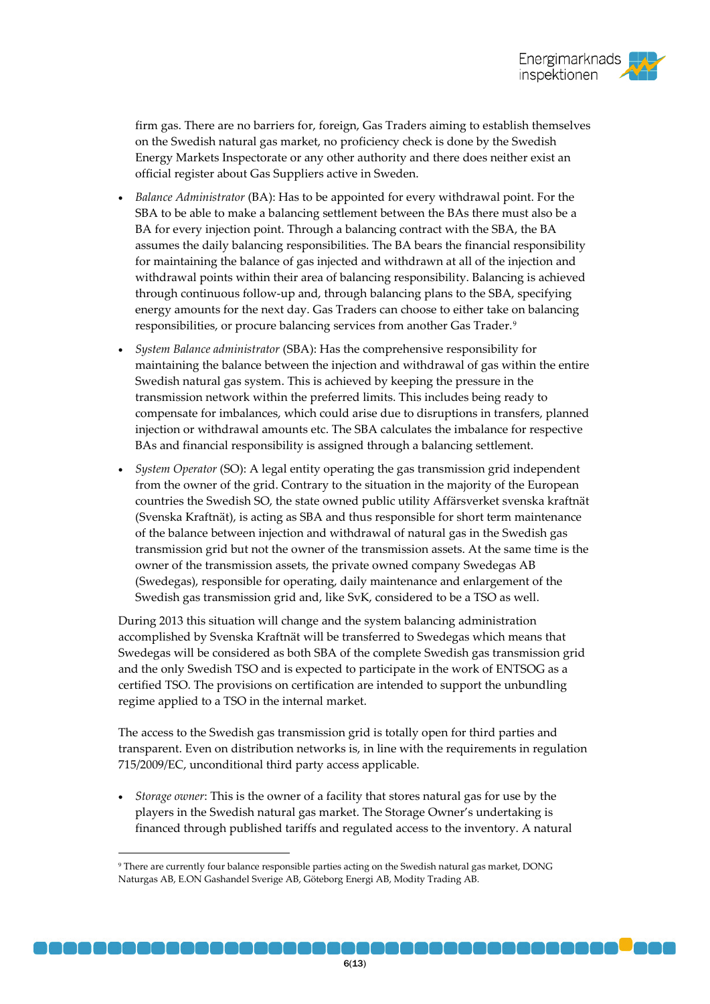firm gas. There are no barriers for, foreign, Gas Traders aiming to establish themselves on the Swedish natural gas market, no proficiency check is done by the Swedish Energy Markets Inspectorate or any other authority and there does neither exist an official register about Gas Suppliers active in Sweden.

- *Balance Administrator* (BA): Has to be appointed for every withdrawal point. For the SBA to be able to make a balancing settlement between the BAs there must also be a BA for every injection point. Through a balancing contract with the SBA, the BA assumes the daily balancing responsibilities. The BA bears the financial responsibility for maintaining the balance of gas injected and withdrawn at all of the injection and withdrawal points within their area of balancing responsibility. Balancing is achieved through continuous follow-up and, through balancing plans to the SBA, specifying energy amounts for the next day. Gas Traders can choose to either take on balancing responsibilities, or procure balancing services from another Gas Trader.<sup>[9](#page-4-2)</sup>
- *System Balance administrator* (SBA): Has the comprehensive responsibility for maintaining the balance between the injection and withdrawal of gas within the entire Swedish natural gas system. This is achieved by keeping the pressure in the transmission network within the preferred limits. This includes being ready to compensate for imbalances, which could arise due to disruptions in transfers, planned injection or withdrawal amounts etc. The SBA calculates the imbalance for respective BAs and financial responsibility is assigned through a balancing settlement.
- *System Operator* (SO): A legal entity operating the gas transmission grid independent from the owner of the grid. Contrary to the situation in the majority of the European countries the Swedish SO, the state owned public utility Affärsverket svenska kraftnät (Svenska Kraftnät), is acting as SBA and thus responsible for short term maintenance of the balance between injection and withdrawal of natural gas in the Swedish gas transmission grid but not the owner of the transmission assets. At the same time is the owner of the transmission assets, the private owned company Swedegas AB (Swedegas), responsible for operating, daily maintenance and enlargement of the Swedish gas transmission grid and, like SvK, considered to be a TSO as well.

During 2013 this situation will change and the system balancing administration accomplished by Svenska Kraftnät will be transferred to Swedegas which means that Swedegas will be considered as both SBA of the complete Swedish gas transmission grid and the only Swedish TSO and is expected to participate in the work of ENTSOG as a certified TSO. The provisions on certification are intended to support the unbundling regime applied to a TSO in the internal market.

The access to the Swedish gas transmission grid is totally open for third parties and transparent. Even on distribution networks is, in line with the requirements in regulation 715/2009/EC, unconditional third party access applicable.

<span id="page-5-0"></span>• *Storage owner*: This is the owner of a facility that stores natural gas for use by the players in the Swedish natural gas market. The Storage Owner's undertaking is financed through published tariffs and regulated access to the inventory. A natural

 <sup>9</sup> There are currently four balance responsible parties acting on the Swedish natural gas market, DONG Naturgas AB, E.ON Gashandel Sverige AB, Göteborg Energi AB, Modity Trading AB.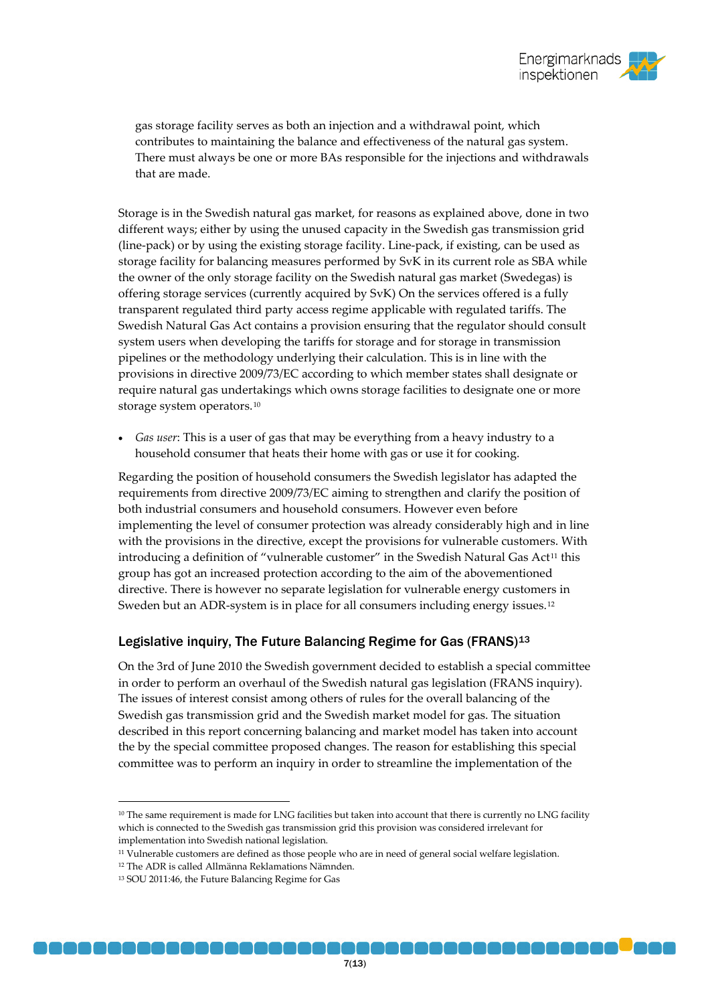

gas storage facility serves as both an injection and a withdrawal point, which contributes to maintaining the balance and effectiveness of the natural gas system. There must always be one or more BAs responsible for the injections and withdrawals that are made.

Storage is in the Swedish natural gas market, for reasons as explained above, done in two different ways; either by using the unused capacity in the Swedish gas transmission grid (line-pack) or by using the existing storage facility. Line-pack, if existing, can be used as storage facility for balancing measures performed by SvK in its current role as SBA while the owner of the only storage facility on the Swedish natural gas market (Swedegas) is offering storage services (currently acquired by SvK) On the services offered is a fully transparent regulated third party access regime applicable with regulated tariffs. The Swedish Natural Gas Act contains a provision ensuring that the regulator should consult system users when developing the tariffs for storage and for storage in transmission pipelines or the methodology underlying their calculation. This is in line with the provisions in directive 2009/73/EC according to which member states shall designate or require natural gas undertakings which owns storage facilities to designate one or more storage system operators.[10](#page-5-0)

• *Gas user*: This is a user of gas that may be everything from a heavy industry to a household consumer that heats their home with gas or use it for cooking.

Regarding the position of household consumers the Swedish legislator has adapted the requirements from directive 2009/73/EC aiming to strengthen and clarify the position of both industrial consumers and household consumers. However even before implementing the level of consumer protection was already considerably high and in line with the provisions in the directive, except the provisions for vulnerable customers. With introducing a definition of "vulnerable customer" in the Swedish Natural Gas Act<sup>[11](#page-6-0)</sup> this group has got an increased protection according to the aim of the abovementioned directive. There is however no separate legislation for vulnerable energy customers in Sweden but an ADR-system is in place for all consumers including energy issues.<sup>[12](#page-6-1)</sup>

### Legislative inquiry, The Future Balancing Regime for Gas  $(FRANS)^{13}$  $(FRANS)^{13}$  $(FRANS)^{13}$

On the 3rd of June 2010 the Swedish government decided to establish a special committee in order to perform an overhaul of the Swedish natural gas legislation (FRANS inquiry). The issues of interest consist among others of rules for the overall balancing of the Swedish gas transmission grid and the Swedish market model for gas. The situation described in this report concerning balancing and market model has taken into account the by the special committee proposed changes. The reason for establishing this special committee was to perform an inquiry in order to streamline the implementation of the

. . . . . . .

<sup>&</sup>lt;sup>10</sup> The same requirement is made for LNG facilities but taken into account that there is currently no LNG facility which is connected to the Swedish gas transmission grid this provision was considered irrelevant for implementation into Swedish national legislation.

<span id="page-6-0"></span><sup>11</sup> Vulnerable customers are defined as those people who are in need of general social welfare legislation.

<span id="page-6-1"></span><sup>12</sup> The ADR is called Allmänna Reklamations Nämnden.

<span id="page-6-2"></span><sup>13</sup> SOU 2011:46, the Future Balancing Regime for Gas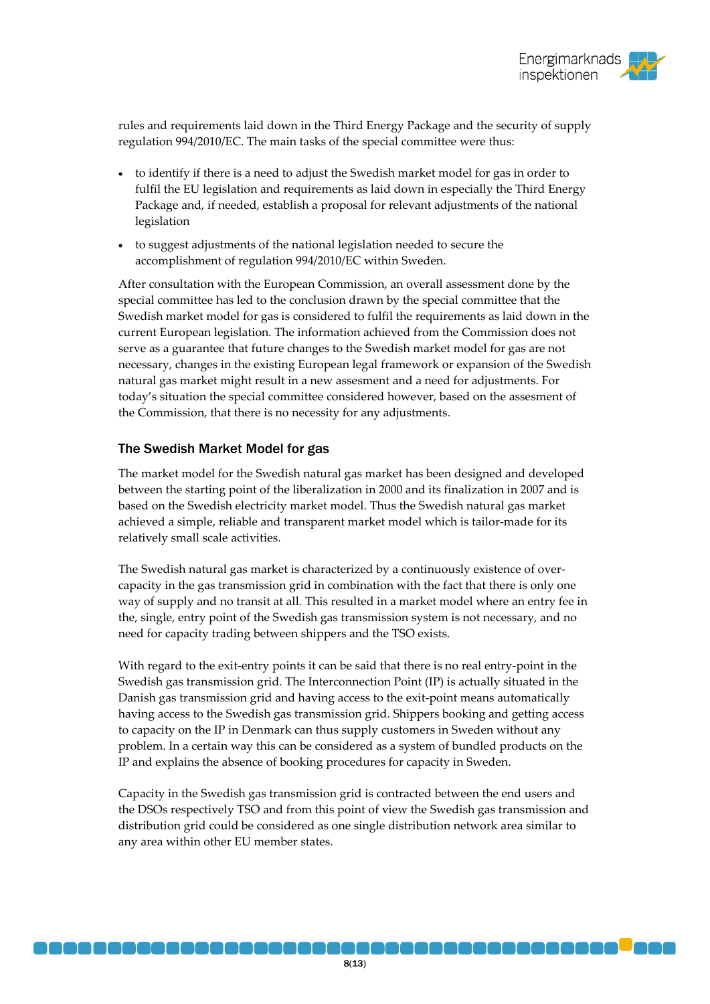

rules and requirements laid down in the Third Energy Package and the security of supply regulation 994/2010/EC. The main tasks of the special committee were thus:

- to identify if there is a need to adjust the Swedish market model for gas in order to fulfil the EU legislation and requirements as laid down in especially the Third Energy Package and, if needed, establish a proposal for relevant adjustments of the national legislation
- to suggest adjustments of the national legislation needed to secure the accomplishment of regulation 994/2010/EC within Sweden.

After consultation with the European Commission, an overall assessment done by the special committee has led to the conclusion drawn by the special committee that the Swedish market model for gas is considered to fulfil the requirements as laid down in the current European legislation. The information achieved from the Commission does not serve as a guarantee that future changes to the Swedish market model for gas are not necessary, changes in the existing European legal framework or expansion of the Swedish natural gas market might result in a new assesment and a need for adjustments. For today's situation the special committee considered however, based on the assesment of the Commission, that there is no necessity for any adjustments.

### The Swedish Market Model for gas

The market model for the Swedish natural gas market has been designed and developed between the starting point of the liberalization in 2000 and its finalization in 2007 and is based on the Swedish electricity market model. Thus the Swedish natural gas market achieved a simple, reliable and transparent market model which is tailor-made for its relatively small scale activities.

The Swedish natural gas market is characterized by a continuously existence of overcapacity in the gas transmission grid in combination with the fact that there is only one way of supply and no transit at all. This resulted in a market model where an entry fee in the, single, entry point of the Swedish gas transmission system is not necessary, and no need for capacity trading between shippers and the TSO exists.

With regard to the exit-entry points it can be said that there is no real entry-point in the Swedish gas transmission grid. The Interconnection Point (IP) is actually situated in the Danish gas transmission grid and having access to the exit-point means automatically having access to the Swedish gas transmission grid. Shippers booking and getting access to capacity on the IP in Denmark can thus supply customers in Sweden without any problem. In a certain way this can be considered as a system of bundled products on the IP and explains the absence of booking procedures for capacity in Sweden.

Capacity in the Swedish gas transmission grid is contracted between the end users and the DSOs respectively TSO and from this point of view the Swedish gas transmission and distribution grid could be considered as one single distribution network area similar to any area within other EU member states.

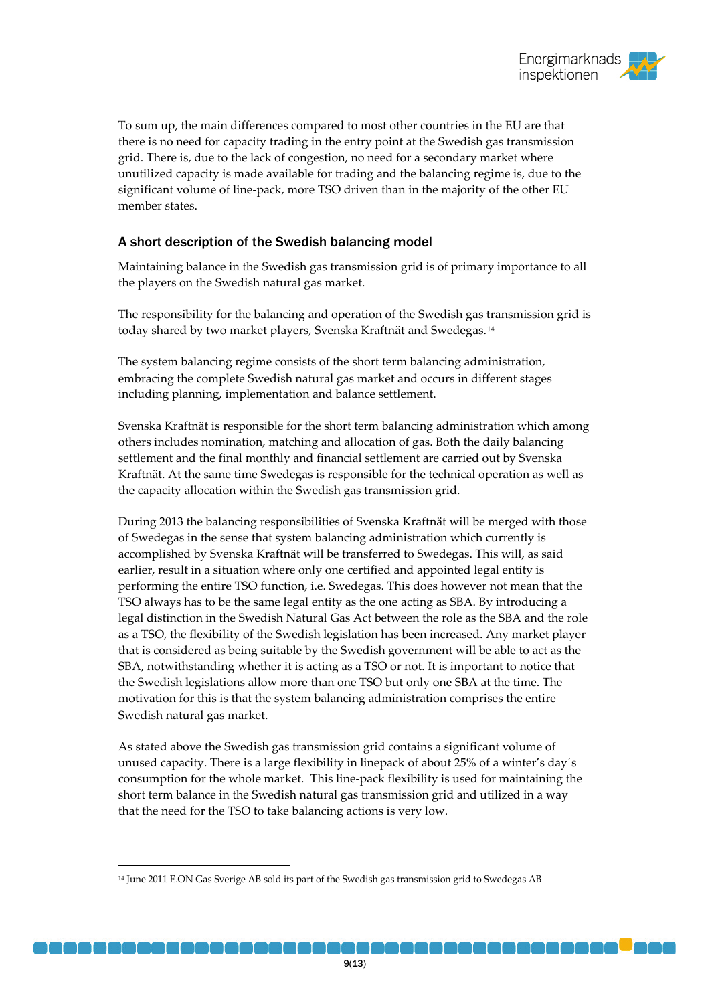

To sum up, the main differences compared to most other countries in the EU are that there is no need for capacity trading in the entry point at the Swedish gas transmission grid. There is, due to the lack of congestion, no need for a secondary market where unutilized capacity is made available for trading and the balancing regime is, due to the significant volume of line-pack, more TSO driven than in the majority of the other EU member states.

# A short description of the Swedish balancing model

Maintaining balance in the Swedish gas transmission grid is of primary importance to all the players on the Swedish natural gas market.

The responsibility for the balancing and operation of the Swedish gas transmission grid is today shared by two market players, Svenska Kraftnät and Swedegas.[14](#page-6-2)

The system balancing regime consists of the short term balancing administration, embracing the complete Swedish natural gas market and occurs in different stages including planning, implementation and balance settlement.

Svenska Kraftnät is responsible for the short term balancing administration which among others includes nomination, matching and allocation of gas. Both the daily balancing settlement and the final monthly and financial settlement are carried out by Svenska Kraftnät. At the same time Swedegas is responsible for the technical operation as well as the capacity allocation within the Swedish gas transmission grid.

During 2013 the balancing responsibilities of Svenska Kraftnät will be merged with those of Swedegas in the sense that system balancing administration which currently is accomplished by Svenska Kraftnät will be transferred to Swedegas. This will, as said earlier, result in a situation where only one certified and appointed legal entity is performing the entire TSO function, i.e. Swedegas. This does however not mean that the TSO always has to be the same legal entity as the one acting as SBA. By introducing a legal distinction in the Swedish Natural Gas Act between the role as the SBA and the role as a TSO, the flexibility of the Swedish legislation has been increased. Any market player that is considered as being suitable by the Swedish government will be able to act as the SBA, notwithstanding whether it is acting as a TSO or not. It is important to notice that the Swedish legislations allow more than one TSO but only one SBA at the time. The motivation for this is that the system balancing administration comprises the entire Swedish natural gas market.

As stated above the Swedish gas transmission grid contains a significant volume of unused capacity. There is a large flexibility in linepack of about 25% of a winter's day´s consumption for the whole market. This line-pack flexibility is used for maintaining the short term balance in the Swedish natural gas transmission grid and utilized in a way that the need for the TSO to take balancing actions is very low.

<span id="page-8-0"></span><sup>&</sup>lt;sup>14</sup> June 2011 E.ON Gas Sverige AB sold its part of the Swedish gas transmission grid to Swedegas AB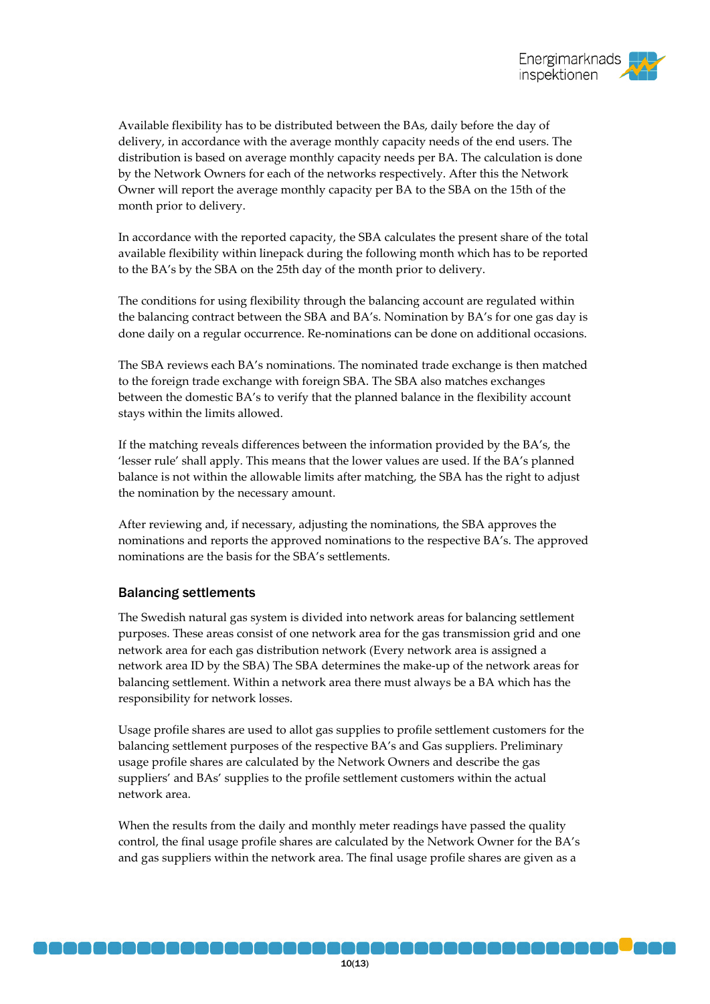

Available flexibility has to be distributed between the BAs, daily before the day of delivery, in accordance with the average monthly capacity needs of the end users. The distribution is based on average monthly capacity needs per BA. The calculation is done by the Network Owners for each of the networks respectively. After this the Network Owner will report the average monthly capacity per BA to the SBA on the 15th of the month prior to delivery.

In accordance with the reported capacity, the SBA calculates the present share of the total available flexibility within linepack during the following month which has to be reported to the BA's by the SBA on the 25th day of the month prior to delivery.

The conditions for using flexibility through the balancing account are regulated within the balancing contract between the SBA and BA's. Nomination by BA's for one gas day is done daily on a regular occurrence. Re-nominations can be done on additional occasions.

The SBA reviews each BA's nominations. The nominated trade exchange is then matched to the foreign trade exchange with foreign SBA. The SBA also matches exchanges between the domestic BA's to verify that the planned balance in the flexibility account stays within the limits allowed.

If the matching reveals differences between the information provided by the BA's, the 'lesser rule' shall apply. This means that the lower values are used. If the BA's planned balance is not within the allowable limits after matching, the SBA has the right to adjust the nomination by the necessary amount.

After reviewing and, if necessary, adjusting the nominations, the SBA approves the nominations and reports the approved nominations to the respective BA's. The approved nominations are the basis for the SBA's settlements.

#### Balancing settlements

The Swedish natural gas system is divided into network areas for balancing settlement purposes. These areas consist of one network area for the gas transmission grid and one network area for each gas distribution network (Every network area is assigned a network area ID by the SBA) The SBA determines the make-up of the network areas for balancing settlement. Within a network area there must always be a BA which has the responsibility for network losses.

Usage profile shares are used to allot gas supplies to profile settlement customers for the balancing settlement purposes of the respective BA's and Gas suppliers. Preliminary usage profile shares are calculated by the Network Owners and describe the gas suppliers' and BAs' supplies to the profile settlement customers within the actual network area.

When the results from the daily and monthly meter readings have passed the quality control, the final usage profile shares are calculated by the Network Owner for the BA's and gas suppliers within the network area. The final usage profile shares are given as a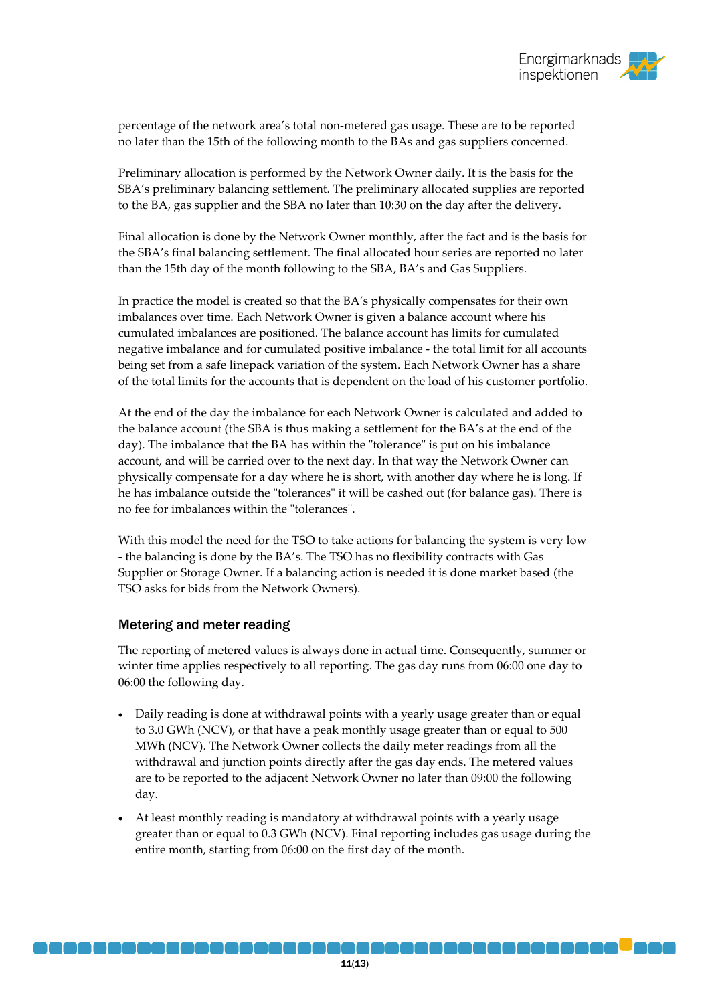percentage of the network area's total non-metered gas usage. These are to be reported no later than the 15th of the following month to the BAs and gas suppliers concerned.

Preliminary allocation is performed by the Network Owner daily. It is the basis for the SBA's preliminary balancing settlement. The preliminary allocated supplies are reported to the BA, gas supplier and the SBA no later than 10:30 on the day after the delivery.

Final allocation is done by the Network Owner monthly, after the fact and is the basis for the SBA's final balancing settlement. The final allocated hour series are reported no later than the 15th day of the month following to the SBA, BA's and Gas Suppliers.

In practice the model is created so that the BA's physically compensates for their own imbalances over time. Each Network Owner is given a balance account where his cumulated imbalances are positioned. The balance account has limits for cumulated negative imbalance and for cumulated positive imbalance - the total limit for all accounts being set from a safe linepack variation of the system. Each Network Owner has a share of the total limits for the accounts that is dependent on the load of his customer portfolio.

At the end of the day the imbalance for each Network Owner is calculated and added to the balance account (the SBA is thus making a settlement for the BA's at the end of the day). The imbalance that the BA has within the "tolerance" is put on his imbalance account, and will be carried over to the next day. In that way the Network Owner can physically compensate for a day where he is short, with another day where he is long. If he has imbalance outside the "tolerances" it will be cashed out (for balance gas). There is no fee for imbalances within the "tolerances".

With this model the need for the TSO to take actions for balancing the system is very low - the balancing is done by the BA's. The TSO has no flexibility contracts with Gas Supplier or Storage Owner. If a balancing action is needed it is done market based (the TSO asks for bids from the Network Owners).

### Metering and meter reading

The reporting of metered values is always done in actual time. Consequently, summer or winter time applies respectively to all reporting. The gas day runs from 06:00 one day to 06:00 the following day.

- Daily reading is done at withdrawal points with a yearly usage greater than or equal to 3.0 GWh (NCV), or that have a peak monthly usage greater than or equal to 500 MWh (NCV). The Network Owner collects the daily meter readings from all the withdrawal and junction points directly after the gas day ends. The metered values are to be reported to the adjacent Network Owner no later than 09:00 the following day.
- At least monthly reading is mandatory at withdrawal points with a yearly usage greater than or equal to 0.3 GWh (NCV). Final reporting includes gas usage during the entire month, starting from 06:00 on the first day of the month.

naaaaaa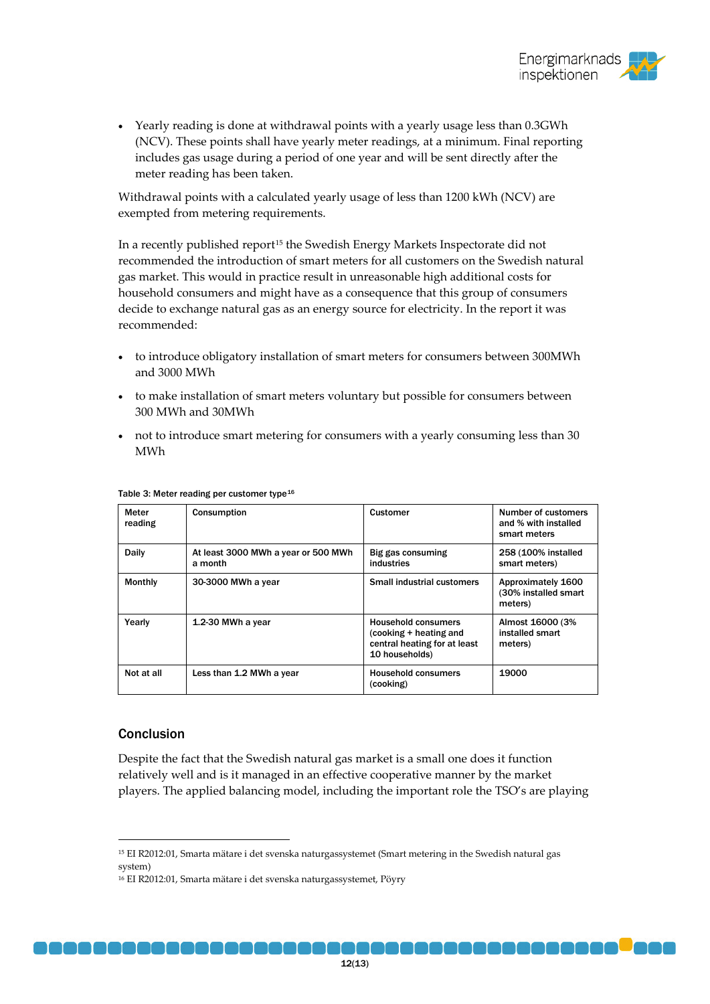

• Yearly reading is done at withdrawal points with a yearly usage less than 0.3GWh (NCV). These points shall have yearly meter readings, at a minimum. Final reporting includes gas usage during a period of one year and will be sent directly after the meter reading has been taken.

Withdrawal points with a calculated yearly usage of less than 1200 kWh (NCV) are exempted from metering requirements.

In a recently published report<sup>[15](#page-8-0)</sup> the Swedish Energy Markets Inspectorate did not recommended the introduction of smart meters for all customers on the Swedish natural gas market. This would in practice result in unreasonable high additional costs for household consumers and might have as a consequence that this group of consumers decide to exchange natural gas as an energy source for electricity. In the report it was recommended:

- to introduce obligatory installation of smart meters for consumers between 300MWh and 3000 MWh
- to make installation of smart meters voluntary but possible for consumers between 300 MWh and 30MWh
- not to introduce smart metering for consumers with a yearly consuming less than 30 MWh

| Meter<br>reading | Consumption                                    | Customer                                                                                               | Number of customers<br>and % with installed<br>smart meters |
|------------------|------------------------------------------------|--------------------------------------------------------------------------------------------------------|-------------------------------------------------------------|
| Daily            | At least 3000 MWh a year or 500 MWh<br>a month | Big gas consuming<br>industries                                                                        | 258 (100% installed<br>smart meters)                        |
| Monthly          | 30-3000 MWh a year                             | Small industrial customers                                                                             | Approximately 1600<br>(30% installed smart<br>meters)       |
| Yearly           | 1.2-30 MWh a year                              | <b>Household consumers</b><br>(cooking + heating and<br>central heating for at least<br>10 households) | Almost 16000 (3%<br>installed smart<br>meters)              |
| Not at all       | Less than 1.2 MWh a year                       | <b>Household consumers</b><br>(cooking)                                                                | 19000                                                       |

#### Table 3: Meter reading per customer type<sup>[16](#page-11-0)</sup>

#### Conclusion

Despite the fact that the Swedish natural gas market is a small one does it function relatively well and is it managed in an effective cooperative manner by the market players. The applied balancing model, including the important role the TSO's are playing

a a a na m

 <sup>15</sup> EI R2012:01, Smarta mätare i det svenska naturgassystemet (Smart metering in the Swedish natural gas system)

<span id="page-11-0"></span><sup>16</sup> EI R2012:01, Smarta mätare i det svenska naturgassystemet, Pöyry